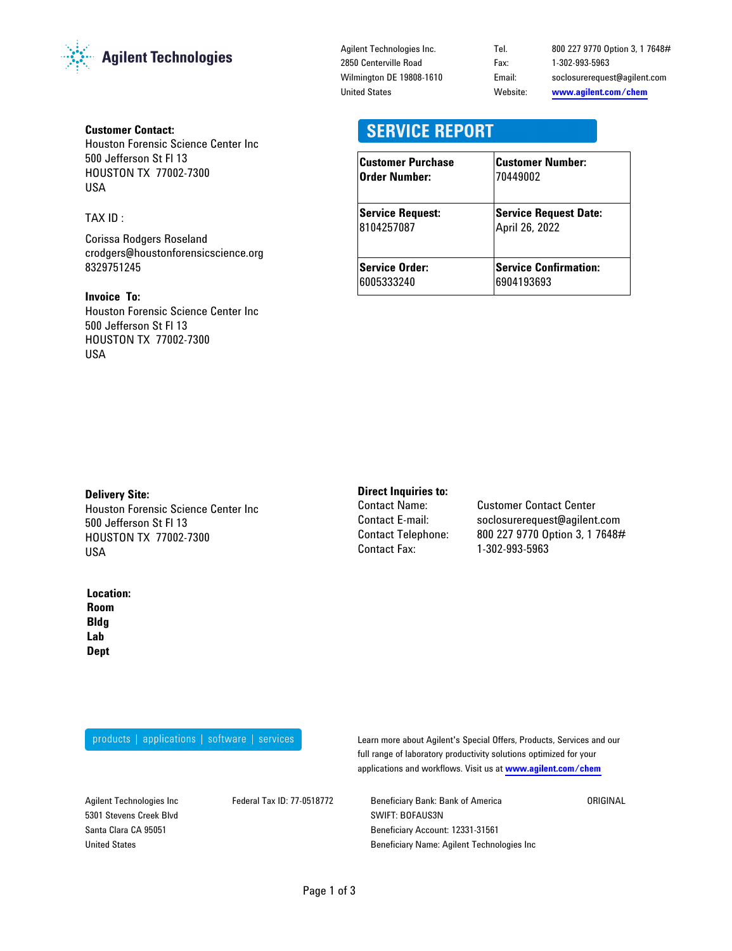

#### Agilent Technologies Inc. 2850 Centerville Road Wilmington DE 19808-1610 United States

| Website:         | www.agilent.com/chem           |  |
|------------------|--------------------------------|--|
| Email:           | soclosurerequest@aqilent.com   |  |
| Fax <sup>.</sup> | 1-302-993-5963                 |  |
| Tel              | 800 227 9770 Option 3, 1 7648# |  |

## **SERVICE REPORT**

| <b>Customer Purchase</b> | <b>Customer Number:</b>      |
|--------------------------|------------------------------|
| Order Number:            | 70449002                     |
| <b>Service Request:</b>  | <b>Service Request Date:</b> |
| 8104257087               | April 26, 2022               |
| <b>Service Order:</b>    | <b>Service Confirmation:</b> |
| 6005333240               | 6904193693                   |

### **Customer Contact:**

Houston Forensic Science Center Inc 500 Jefferson St Fl 13 HOUSTON TX 77002-7300 USA

#### TAX ID :

Corissa Rodgers Roseland crodgers@houstonforensicscience.org 8329751245

#### **Invoice To:**

Houston Forensic Science Center Inc 500 Jefferson St Fl 13 HOUSTON TX 77002-7300 USA

#### **Delivery Site:**

Houston Forensic Science Center Inc 500 Jefferson St Fl 13 HOUSTON TX 77002-7300 USA

# **Direct Inquiries to:**<br>Contact Name:

Contact Telephone: Contact Fax:

**Customer Contact Center** 800 227 9770 Option 3, 1 7648# 1-302-993-5963 Contact E-mail: soclosurerequest@agilent.com

**Location: Lab Dept Room Bldg**

products | applications | software | services

Learn more about Agilent's Special Offers, Products, Services and our full range of laboratory productivity solutions optimized for your applications and workflows. Visit us at **www.agilent.com/chem**

Agilent Technologies Inc 5301 Stevens Creek Blvd Santa Clara CA 95051 United States

Federal Tax ID: 77-0518772 Beneficiary Bank: Bank of America SWIFT: BOFAUS3N Beneficiary Account: 12331-31561 Beneficiary Name: Agilent Technologies Inc **ORIGINAL**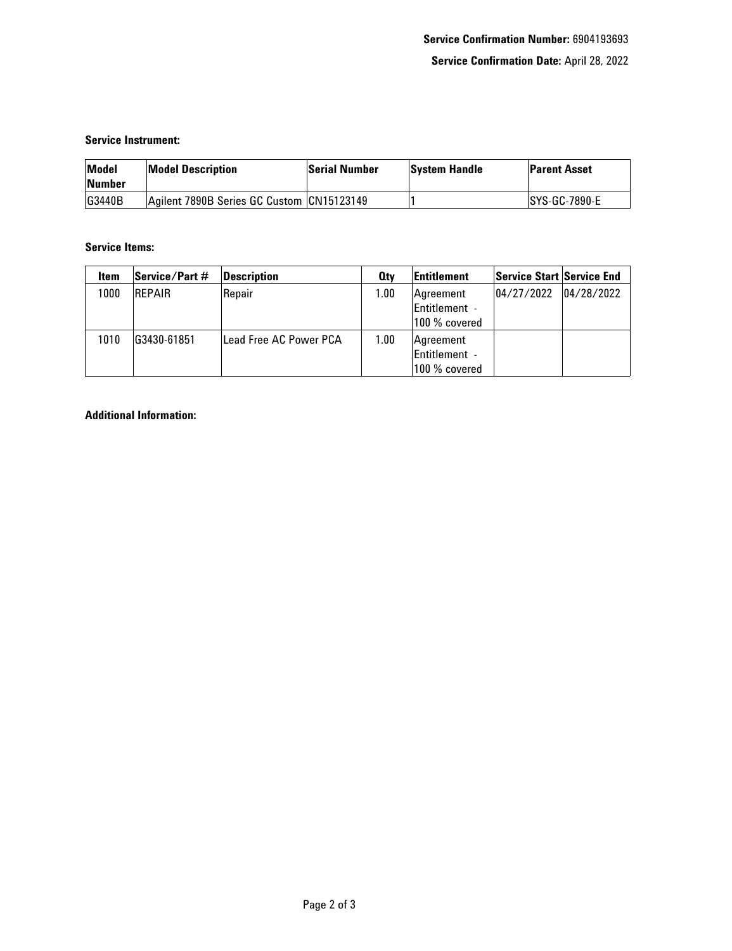#### **Service Instrument:**

| <b>Model</b><br><b>Number</b> | <b>Model Description</b>                  | <b>Serial Number</b> | <b>System Handle</b> | <b>Parent Asset</b>  |
|-------------------------------|-------------------------------------------|----------------------|----------------------|----------------------|
| G3440B                        | Agilent 7890B Series GC Custom CN15123149 |                      |                      | <b>SYS-GC-7890-E</b> |

#### **Service Items:**

| <b>Item</b> | <b>Service/Part</b> # | Description            | <b>Qtv</b> | <b>Entitlement</b>   | <b>Service Start Service End</b> |            |
|-------------|-----------------------|------------------------|------------|----------------------|----------------------------------|------------|
| 1000        | <b>REPAIR</b>         | Repair                 | 1.00       | Agreement            | 104/27/2022                      | 04/28/2022 |
|             |                       |                        |            | Entitlement -        |                                  |            |
|             |                       |                        |            | 100 % covered        |                                  |            |
| 1010        | G3430-61851           | Lead Free AC Power PCA | 1.00       | Agreement            |                                  |            |
|             |                       |                        |            | <b>Entitlement</b> - |                                  |            |
|             |                       |                        |            | 100 % covered        |                                  |            |

#### **Additional Information:**